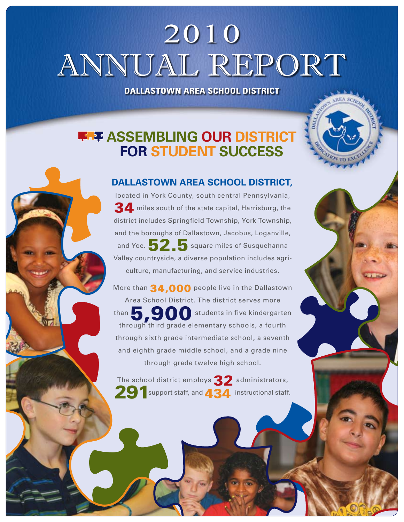# 2010 ANNUAL REPORT

**Dallastown Area School District**

### **ASSEMBLING OUR DISTRICT for Student Success**

#### **Dallastown Area School District,**

located in York County, south central Pennsylvania, 34 miles south of the state capital, Harrisburg, the district includes Springfield Township, York Township, and the boroughs of Dallastown, Jacobus, Loganville, and Yoe. 52.5 square miles of Susquehanna Valley countryside, a diverse population includes agriculture, manufacturing, and service industries.

More than 34,000 people live in the Dallastown Area School District. The district serves more than  $\overline{\mathbf{5}}$ ,900 students in five kindergarten through third grade elementary schools, a fourth through sixth grade intermediate school, a seventh and eighth grade middle school, and a grade nine through grade twelve high school.

The school district employs 32 administrators, 291 support staff, and 434 instructional staff.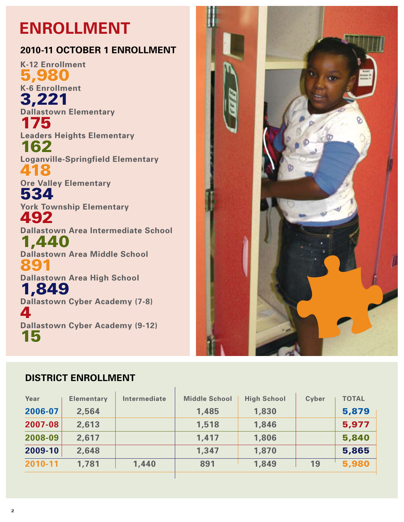## **Enrollment**

#### **2010-11 October 1 Enrollment**

**K-12 Enrollment** 5,980 **K-6 Enrollment** 3,221 **Dallastown Elementary** 175 **Leaders Heights Elementary** 162 **Loganville-Springfield Elementary** 418 **Ore Valley Elementary** 534 **York Township Elementary** 492 **Dallastown Area Intermediate School** 1,440 **Dallastown Area Middle School** 891 **Dallastown Area High School** 1,849 **Dallastown Cyber Academy (7-8)** 4 **Dallastown Cyber Academy (9-12)** 15



#### **District Enrollment**

| Year    | <b>Elementary</b> | Intermediate | <b>Middle School</b> | <b>High School</b> | <b>Cyber</b> | <b>TOTAL</b> |
|---------|-------------------|--------------|----------------------|--------------------|--------------|--------------|
| 2006-07 | 2,564             |              | 1,485                | 1,830              |              | 5,879        |
| 2007-08 | 2,613             |              | 1,518                | 1,846              |              | 5,977        |
| 2008-09 | 2,617             |              | 1,417                | 1,806              |              | 5,840        |
| 2009-10 | 2,648             |              | 1,347                | 1,870              |              | 5,865        |
| 2010-11 | 1,781             | 1,440        | 891                  | 1,849              | 19           | 5,980        |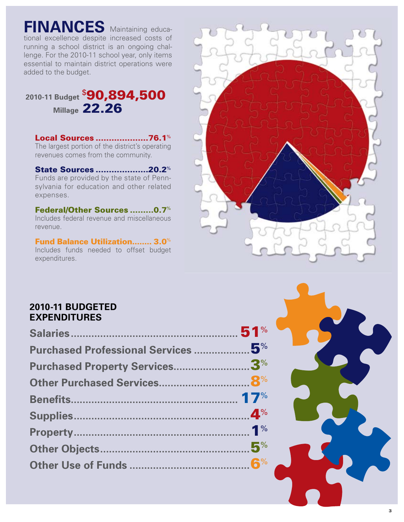### **FINANCES** Maintaining educa-

tional excellence despite increased costs of running a school district is an ongoing challenge. For the 2010-11 school year, only items essential to maintain district operations were added to the budget.

### **2010-11 Budget** \$ 90,894,500 **Millage** 22.26

#### Local Sources ....................76.1%

The largest portion of the district's operating revenues comes from the community.

#### State Sources ....................20.2%

Funds are provided by the state of Pennsylvania for education and other related expenses.

Federal/Other Sources .........0.7% Includes federal revenue and miscellaneous revenue.

#### Fund Balance Utilization........ 3.0%

Includes funds needed to offset budget expenditures.



#### **2010-11 Budgeted Expenditures**

| Purchased Professional Services  5% |  |
|-------------------------------------|--|
| Purchased Property Services3%       |  |
|                                     |  |
|                                     |  |
|                                     |  |
|                                     |  |
|                                     |  |
|                                     |  |

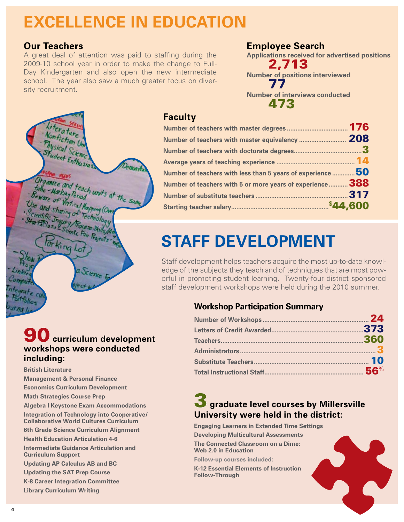## **Excellence in Education**

#### **Our Teachers**

A great deal of attention was paid to staffing during the 2009-10 school year in order to make the change to Full-Day Kindergarten and also open the new intermediate school. The year also saw a much greater focus on diversity recruitment.

#### **Employee Search**

**Applications received for advertised positions** 2,713 **Number of positions interviewed** 77 **Number of interviews conducted** 473



#### **Faculty**

| Number of teachers with less than 5 years of experience ${\bf 50}$ |      |
|--------------------------------------------------------------------|------|
| Number of teachers with 5 or more years of experience  388         |      |
|                                                                    | .317 |
|                                                                    |      |
|                                                                    |      |

## **staff development**

Staff development helps teachers acquire the most up-to-date knowledge of the subjects they teach and of techniques that are most powerful in promoting student learning. Twenty-four district sponsored staff development workshops were held during the 2010 summer.

#### **Workshop Participation Summary**

### **3** graduate level courses by Millersville **University were held in the district:**

**Engaging Learners in Extended Time Settings Developing Multicultural Assessments**

**The Connected Classroom on a Dime: Web 2.0 in Education**

**Follow-up courses included:**

**K-12 Essential Elements of Instruction Follow-Through**



#### $\bigcup$  curriculum development **workshops were conducted including:**

**British Literature**

- **Management & Personal Finance Economics Curriculum Development**
- **Math Strategies Course Prep**
- **Algebra I Keystone Exam Accommodations**
- **Integration of Technology into Cooperative/ Collaborative World Cultures Curriculum**
- **6th Grade Science Curriculum Alignment**
- **Health Education Articulation 4-6**
- **Intermediate Guidance Articulation and Curriculum Support**
- **Updating AP Calculus AB and BC**
- **Updating the SAT Prep Course**
- **K-8 Career Integration Committee**
- **Library Curriculum Writing**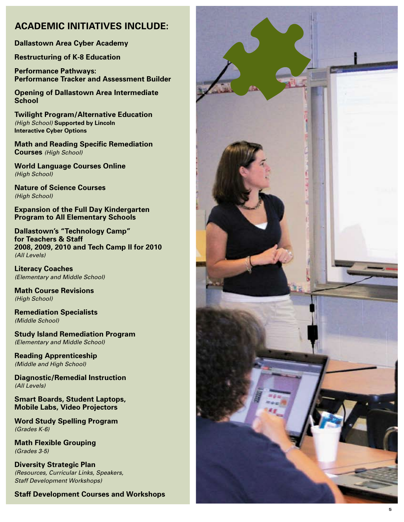#### **ACADEMIC INITIATIVES INCLUDE:**

**Dallastown Area Cyber Academy**

**Restructuring of K-8 Education**

**Performance Pathways: Performance Tracker and Assessment Builder** 

**Opening of Dallastown Area Intermediate School Twilight Program/ Alternative Education** 

*(High School)* **Supported by Lincoln Interactive Cyber Options**

**Math and Reading Specific Remediation Courses** *(High School)*

**World Language Courses Online**  *(High School)*

**Nature of Science Courses**  *(High School)* 

**Expansion of the Full Day Kindergarten Program to All Elementary Schools** 

**Dallastown's " Technology Camp" for Teachers & Staff 2008, 2009, 2010 and Tech Camp II for 2010** *(All Levels)*

**Literacy Coaches**  *(Elementary and Middle School)* 

**Math Course Revisions**  *(High School)* 

**Remediation Specialists**  *(Middle School)* 

**Study Island Remediation Program** *(Elementary and Middle School)* 

**Reading Apprenticeship**  *(Middle and High School)* 

**Diagnostic/ Remedial Instruction**  *(All Levels)* 

**Smart Boards, Student Laptops, Mobile Labs, Video Projectors** 

**Word Study Spelling Program**  *(Grades K-6)* 

**Math Flexible Grouping**  *(Grades 3-5)*

**Diversity Strategic Plan**  *(Resources, Curricular Links, Speakers, Staff Development Workshops)* 

**Staff Development Courses and Workshops**

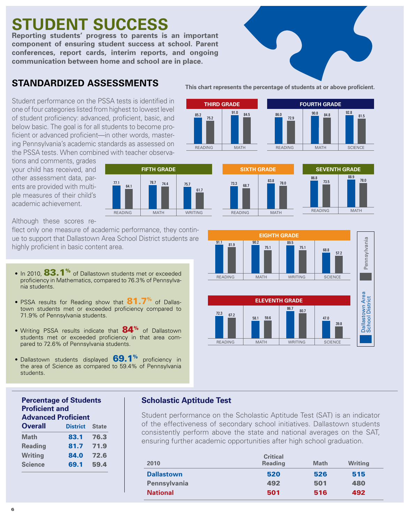### **Student Success**

**Reporting students' progress to parents is an important component of ensuring student success at school. Parent conferences, report cards, interim reports, and ongoing communication between home and school are in place.** 

#### **Standardized Assessments**

Student performance on the PSSA tests is identified in one of four categories listed from highest to lowest level of student proficiency: advanced, proficient, basic, and below basic. The goal is for all students to become proficient or advanced proficient—in other words, mastering Pennsylvania's academic standards as assessed on the PSSA tests. When combined with teacher observa-

tions and comments, grades your child has received, and other assessment data, parents are provided with multiple measures of their child's academic achievement.



 $91.0$  84.5

READING MATH

**THIRD GRADE**

85.2 75.2

Although these scores re-

flect only one measure of academic performance, they continue to support that Dallastown Area School District students are highly proficient in basic content area.

- In 2010, 83.1% of Dallastown students met or exceeded proficiency in Mathematics, compared to 76.3% of Pennsylvania students.
- PSSA results for Reading show that **81.7**% of Dallastown students met or exceeded proficiency compared to 71.9% of Pennsylvania students.
- Writing PSSA results indicate that 84<sup>%</sup> of Dallastown students met or exceeded proficiency in that area compared to 72.6% of Pennsylvania students.
- Dallastown students displayed  $69.1\%$  proficiency in the area of Science as compared to 59.4% of Pennsylvania students.



#### **Percentage of Students Proficient and Advanced Proficient**

| <b>Overall</b> | <b>District</b> | <b>State</b> |
|----------------|-----------------|--------------|
| Math           | 83.1            | 76.3         |
| <b>Reading</b> | 81.7            | 71.9         |
| <b>Writing</b> | 84.0            | 72.6         |
| <b>Science</b> | 69.1            | 59.4         |
|                |                 |              |

#### **Scholastic Aptitude Test**

Student performance on the Scholastic Aptitude Test (SAT) is an indicator of the effectiveness of secondary school initiatives. Dallastown students consistently perform above the state and national averages on the SAT, ensuring further academic opportunities after high school graduation.

| 2010                | <b>Critical</b><br><b>Reading</b> | <b>Math</b> | <b>Writing</b> |
|---------------------|-----------------------------------|-------------|----------------|
| <b>Dallastown</b>   | 520                               | 526         | 515            |
| <b>Pennsylvania</b> | 492                               | 501         | 480            |
| <b>National</b>     | 501                               | 516         | 492            |

#### **This chart represents the percentage of students at or above proficient.**

86.0 72.9

READING MATH SCIENCE

**FOURTH GRADE**

90.8 84.8 92.8 81.5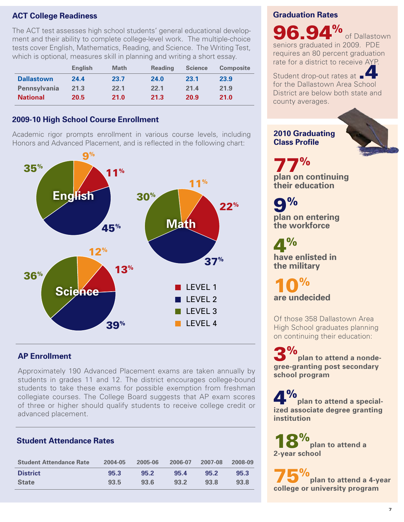#### **ACT College Readiness**

The ACT test assesses high school students' general educational development and their ability to complete college-level work. The multiple-choice tests cover English, Mathematics, Reading, and Science. The Writing Test, which is optional, measures skill in planning and writing a short essay.

|                     | <b>English</b> | <b>Math</b> | <b>Reading</b> | <b>Science</b> | <b>Composite</b> |
|---------------------|----------------|-------------|----------------|----------------|------------------|
| <b>Dallastown</b>   | 24.4           | 23.7        | 24.0           | 23.1           | 23.9             |
| <b>Pennsylvania</b> | 21.3           | 22.1        | 22.1           | 21.4           | 21.9             |
| <b>National</b>     | 20.5           | 21.0        | 21.3           | 20.9           | 21.0             |

#### **2009-10 High School Course Enrollment**

Academic rigor prompts enrollment in various course levels, including Honors and Advanced Placement, and is reflected in the following chart:



#### **AP Enrollment**

Approximately 190 Advanced Placement exams are taken annually by students in grades 11 and 12. The district encourages college-bound students to take these exams for possible exemption from freshman collegiate courses. The College Board suggests that AP exam scores of three or higher should qualify students to receive college credit or advanced placement.

#### **Student Attendance Rates**

| <b>Student Attendance Rate</b> | 2004-05 | 2005-06 | 2006-07 | 2007-08 | 2008-09 |
|--------------------------------|---------|---------|---------|---------|---------|
| <b>District</b>                | 95.3    | 95.2    | 95.4    | 95.2    | 95.3    |
| <b>State</b>                   | 93.5    | 93.6    | 93.2    | 93.8    | 93.8    |

#### **Graduation Rates**

96.94% of Dallastown seniors graduated in 2009. PDE requires an 80 percent graduation rate for a district to receive AYP.

Student drop-out rates at for the Dallastown Area School District are below both state and county averages.

#### **2010 Graduating Class Profile**

77% **plan on continuing their education**

9% **plan on entering the workforce**

 $4%$ **have enlisted in the military**

10% **are undecided**

Of those 358 Dallastown Area High School graduates planning on continuing their education:

3% **plan to attend a nondegree-granting post secondary school program**

**4**<sup>%</sup> plan to attend a special**ized associate degree granting institution**

18% **plan to attend a 2-year school**

75% **plan to attend a 4-year college or university program**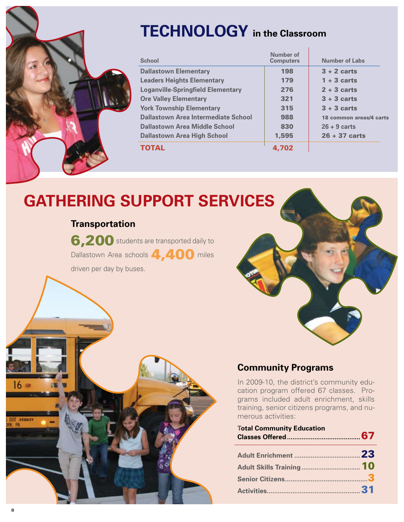| <b>TECHNOLOGY</b> in the Classroom       |                               |                         |  |  |
|------------------------------------------|-------------------------------|-------------------------|--|--|
| <b>School</b>                            | Number of<br><b>Computers</b> | <b>Number of Labs</b>   |  |  |
| <b>Dallastown Elementary</b>             | 198                           | $3 + 2$ carts           |  |  |
| <b>Leaders Heights Elementary</b>        | 179                           | $1 + 3$ carts           |  |  |
| <b>Loganville-Springfield Elementary</b> | 276                           | $2 + 3$ carts           |  |  |
| <b>Ore Valley Elementary</b>             | 321                           | $3 + 3$ carts           |  |  |
| <b>York Township Elementary</b>          | 315                           | $3 + 3$ carts           |  |  |
| Dallastown Area Intermediate School      | 988                           | 18 common areas/4 carts |  |  |
| Dallastown Area Middle School            | 830                           | $26 + 9$ carts          |  |  |
| <b>Dallastown Area High School</b>       | 1,595                         | $26 + 37$ carts         |  |  |
| TOTAL                                    | 4.702                         |                         |  |  |

### **Gathering Support Services**

#### **Transportation**

6,200 students are transported daily to Dallastown Area schools 4,400 miles driven per day by buses.



#### **Community Programs**

In 2009-10, the district's community education program offered 67 classes. Programs included adult enrichment, skills training, senior citizens programs, and numerous activities:

| <b>Total Community Education</b> |  |
|----------------------------------|--|
|                                  |  |
|                                  |  |
|                                  |  |
|                                  |  |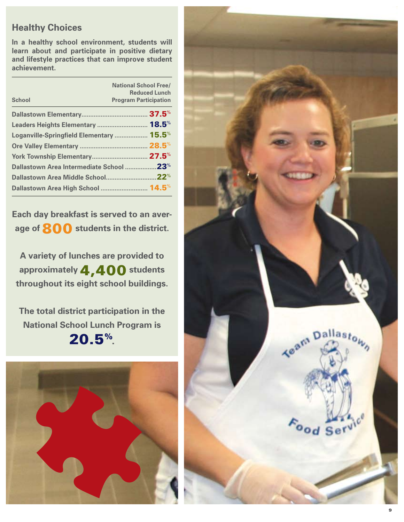#### **Healthy Choices**

**In a healthy school environment, students will learn about and participate in positive dietary and lifestyle practices that can improve student achievement.**

| <b>School</b>                                  | <b>National School Free/</b><br><b>Reduced Lunch</b><br><b>Program Participation</b> |
|------------------------------------------------|--------------------------------------------------------------------------------------|
|                                                |                                                                                      |
| Leaders Heights Elementary  18.5%              |                                                                                      |
| Loganville-Springfield Elementary  15.5%       |                                                                                      |
|                                                |                                                                                      |
|                                                |                                                                                      |
| Dallastown Area Intermediate School 23%        |                                                                                      |
|                                                |                                                                                      |
| Dallastown Area High School  14.5 <sup>%</sup> |                                                                                      |

**Each day breakfast is served to an average of** 800 **students in the district.** 

**A variety of lunches are provided to approximately** 4,400 **students throughout its eight school buildings.**

**The total district participation in the National School Lunch Program is**  20.5%.



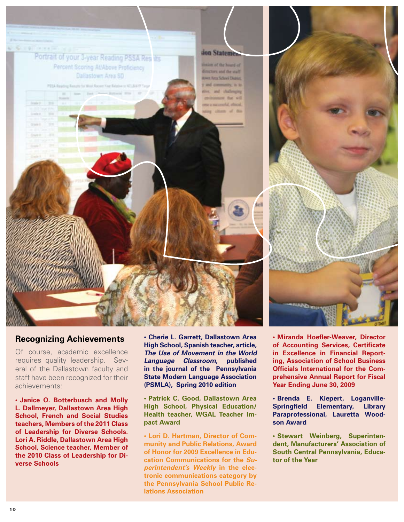

#### **Recognizing Achievements**

Of course, academic excellence requires quality leadership. Several of the Dallastown faculty and staff have been recognized for their achievements:

**• Janice Q. Botterbusch and Molly L. Dallmeyer, Dallastown Area High School, French and Social Studies teachers, Members of the 2011 Class of Leadership for Diverse Schools. Lori A. Riddle, Dallastown Area High School, Science teacher, Member of the 2010 Class of Leadership for Diverse Schools**

**• Cherie L. Garrett, Dallastown Area High School, Spanish teacher, article,**  *The Use of Movement in the World Language Classroom***, published in the journal of the Pennsylvania State Modern Language Association (PSMLA), Spring 2010 edition**

**• Patrick C. Good, Dallastown Area High School, Physical Education/ Health teacher, WGAL Teacher Impact Award**

**• Lori D. Hartman, Director of Community and Public Relations, Award of Honor for 2009 Excellence in Education Communications for the** *Superintendent's Weekly* **in the electronic communications category by the Pennsylvania School Public Relations Association**

**• Miranda Hoefler-Weaver, Director of Accounting Services, Certificate in Excellence in Financial Reporting, Association of School Business Officials International for the Comprehensive Annual Report for Fiscal Year Ending June 30, 2009**

**• Brenda E. Kiepert, Loganville-Springfield Elementary, Library Paraprofessional, Lauretta Woodson Award**

**• Stewart Weinberg, Superintendent, Manufacturers' Association of South Central Pennsylvania, Educator of the Year**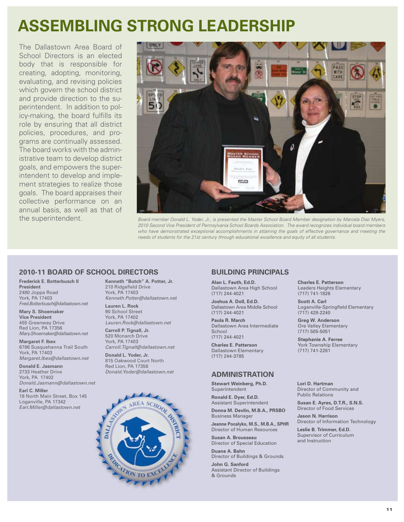### **Assembling Strong Leadership**

The Dallastown Area Board of School Directors is an elected body that is responsible for creating, adopting, monitoring, evaluating, and revising policies which govern the school district and provide direction to the superintendent. In addition to policy-making, the board fulfills its role by ensuring that all district policies, procedures, and programs are continually assessed. The board works with the administrative team to develop district goals, and empowers the superintendent to develop and implement strategies to realize those goals. The board appraises their collective performance on an annual basis, as well as that of the superintendent.



*Board member Donald L. Yoder, Jr., is presented the Master School Board Member designation by Marcela Diaz Myers, 2010 Second Vice President of Pennsylvania School Boards Association. The award recognizes individual board members who have demonstrated exceptional accomplishments in attaining the goals of effective governance and meeting the needs of students for the 21st century through educational excellence and equity of all students.*

#### **2010-11 Board of School Directors**

**Frederick E. Botterbusch II President** 2480 Joppa Road York, PA 17403 *Fred.Botterbusch@dallastown.net* 

**Mary S. Shoemaker Vice President** 455 Greenway Drive Red Lion, PA 17356 *Mary.Shoemaker@dallastown.net* 

**Margaret F. Ibex** 6786 Susquehanna Trail South York, PA 17403 *Margaret.Ibex@dallastown.net*

**Donald E. Jasmann** 2733 Heather Drive York, PA 17402 *Donald.Jasmann@dallastown.net*

**Earl C. Miller** 18 North Main Street, Box 145 Loganville, PA 17342 *Earl.Miller@dallastown.net*

**Kenneth "Butch" A. Potter, Jr.** 210 Ridgefield Drive York, PA 17403 *Kenneth.Potter@dallastown.net*

**Lauren L. Rock** 90 School Street York, PA 17402 *Lauren.Rock@dallastown.net* 

**Carroll P. Tignall, Jr.** 520 Monarch Drive York, PA 17403 *Carroll.Tignall@dallastown.net*

**Donald L. Yoder, Jr.** 815 Oakwood Court North Red Lion, PA 17356 *Donald.Yoder@dallastown.net*



#### **Building Principals**

**Alan L. Fauth, Ed.D.** Dallastown Area High School (717) 244-4021

**Joshua A. Doll, Ed.D.**  Dallastown Area Middle School (717) 244-4021

**Paula R. March** Dallastown Area Intermediate **School** (717) 244-4021

**Charles E. Patterson** Dallastown Elementary (717) 244-3785

#### **Administration**

**Stewart Weinberg, Ph.D.** Superintendent

**Ronald E. Dyer, Ed.D.** Assistant Superintendent

**Donna M. Devlin, M.B.A., PRSBO** Business Manager

**Jeanne Pocalyko, M.S., M.B.A., SPHR** Director of Human Resources

**Susan A. Brousseau** Director of Special Education

**Duane A. Bahn** 

Director of Buildings & Grounds **John G. Sanford** Assistant Director of Buildings & Grounds

**Charles E. Patterson**  Leaders Heights Elementary (717) 741-1826

**Scott A. Carl**  Loganville-Springfield Elementary (717) 428-2240

**Greg W. Anderson**  Ore Valley Elementary (717) 505-5051

**Stephanie A. Ferree**  York Township Elementary (717) 741-2281

**Lori D. Hartman** Director of Community and Public Relations

**Susan E. Ayres, D.T.R., S.N.S.** Director of Food Services

**Jason N. Harrison** Director of Information Technology

**Leslie B. Trimmer, Ed.D.** Supervisor of Curriculum and Instruction